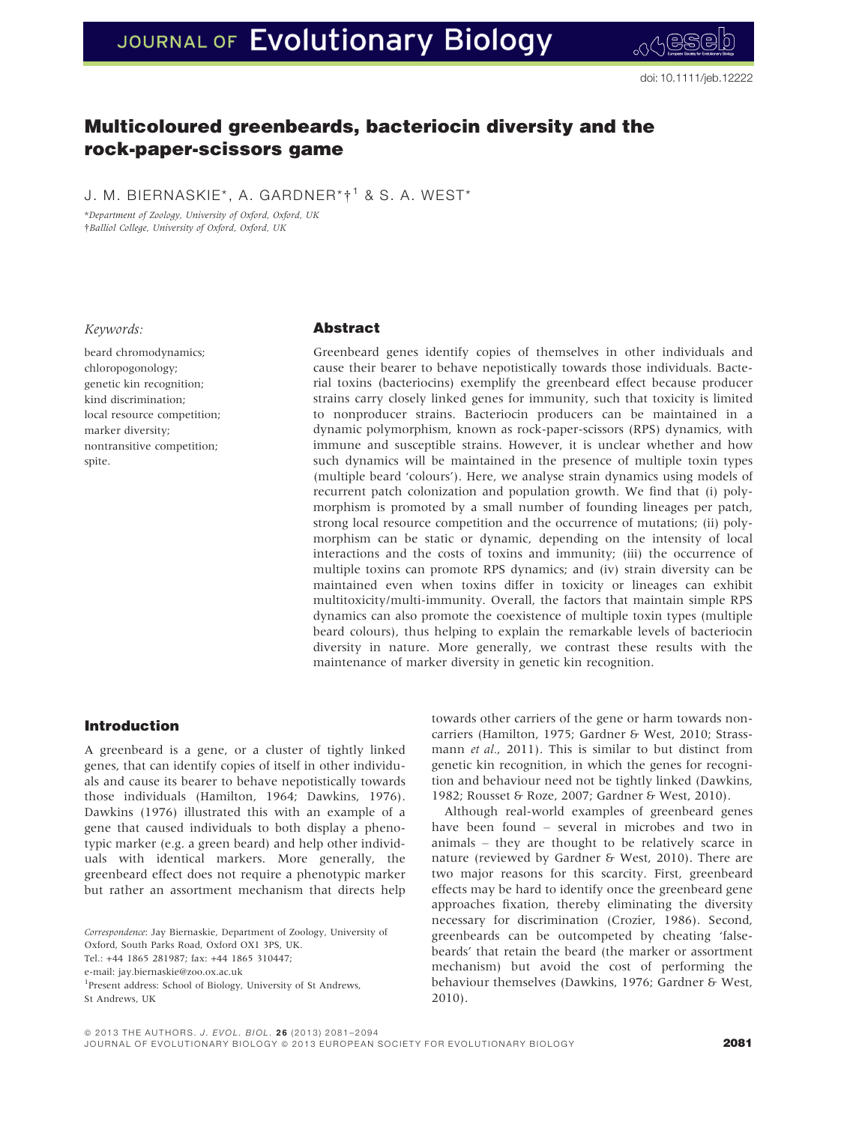# JOURNAL OF Evolutionary Biology

## Multicoloured greenbeards, bacteriocin diversity and the rock-paper-scissors game

J. M. BIERNASKIE\*, A. GARDNER\*†<sup>1</sup> & S. A. WEST\*

\*Department of Zoology, University of Oxford, Oxford, UK †Balliol College, University of Oxford, Oxford, UK

#### Keywords:

beard chromodynamics; chloropogonology; genetic kin recognition; kind discrimination; local resource competition; marker diversity; nontransitive competition; spite.

## Abstract

Greenbeard genes identify copies of themselves in other individuals and cause their bearer to behave nepotistically towards those individuals. Bacterial toxins (bacteriocins) exemplify the greenbeard effect because producer strains carry closely linked genes for immunity, such that toxicity is limited to nonproducer strains. Bacteriocin producers can be maintained in a dynamic polymorphism, known as rock-paper-scissors (RPS) dynamics, with immune and susceptible strains. However, it is unclear whether and how such dynamics will be maintained in the presence of multiple toxin types (multiple beard 'colours'). Here, we analyse strain dynamics using models of recurrent patch colonization and population growth. We find that (i) polymorphism is promoted by a small number of founding lineages per patch, strong local resource competition and the occurrence of mutations; (ii) polymorphism can be static or dynamic, depending on the intensity of local interactions and the costs of toxins and immunity; (iii) the occurrence of multiple toxins can promote RPS dynamics; and (iv) strain diversity can be maintained even when toxins differ in toxicity or lineages can exhibit multitoxicity/multi-immunity. Overall, the factors that maintain simple RPS dynamics can also promote the coexistence of multiple toxin types (multiple beard colours), thus helping to explain the remarkable levels of bacteriocin diversity in nature. More generally, we contrast these results with the maintenance of marker diversity in genetic kin recognition.

## Introduction

A greenbeard is a gene, or a cluster of tightly linked genes, that can identify copies of itself in other individuals and cause its bearer to behave nepotistically towards those individuals (Hamilton, 1964; Dawkins, 1976). Dawkins (1976) illustrated this with an example of a gene that caused individuals to both display a phenotypic marker (e.g. a green beard) and help other individuals with identical markers. More generally, the greenbeard effect does not require a phenotypic marker but rather an assortment mechanism that directs help

Correspondence: Jay Biernaskie, Department of Zoology, University of Oxford, South Parks Road, Oxford OX1 3PS, UK.

Tel.: +44 1865 281987; fax: +44 1865 310447;

e-mail: jay.biernaskie@zoo.ox.ac.uk

<sup>1</sup>Present address: School of Biology, University of St Andrews, St Andrews, UK

towards other carriers of the gene or harm towards noncarriers (Hamilton, 1975; Gardner & West, 2010; Strassmann et al., 2011). This is similar to but distinct from genetic kin recognition, in which the genes for recognition and behaviour need not be tightly linked (Dawkins, 1982; Rousset & Roze, 2007; Gardner & West, 2010).

Although real-world examples of greenbeard genes have been found – several in microbes and two in animals – they are thought to be relatively scarce in nature (reviewed by Gardner & West, 2010). There are two major reasons for this scarcity. First, greenbeard effects may be hard to identify once the greenbeard gene approaches fixation, thereby eliminating the diversity necessary for discrimination (Crozier, 1986). Second, greenbeards can be outcompeted by cheating 'falsebeards' that retain the beard (the marker or assortment mechanism) but avoid the cost of performing the behaviour themselves (Dawkins, 1976; Gardner & West, 2010).

ª 2013 THE AUTHORS. J. EVOL. BIOL. 2 6 (2013) 2081–2094

JOURNAL OF EVOLUTIONARY BIOLOGY © 2013 EUROPEAN SOCIETY FOR EVOLUTIONARY BIOLOGY **2081**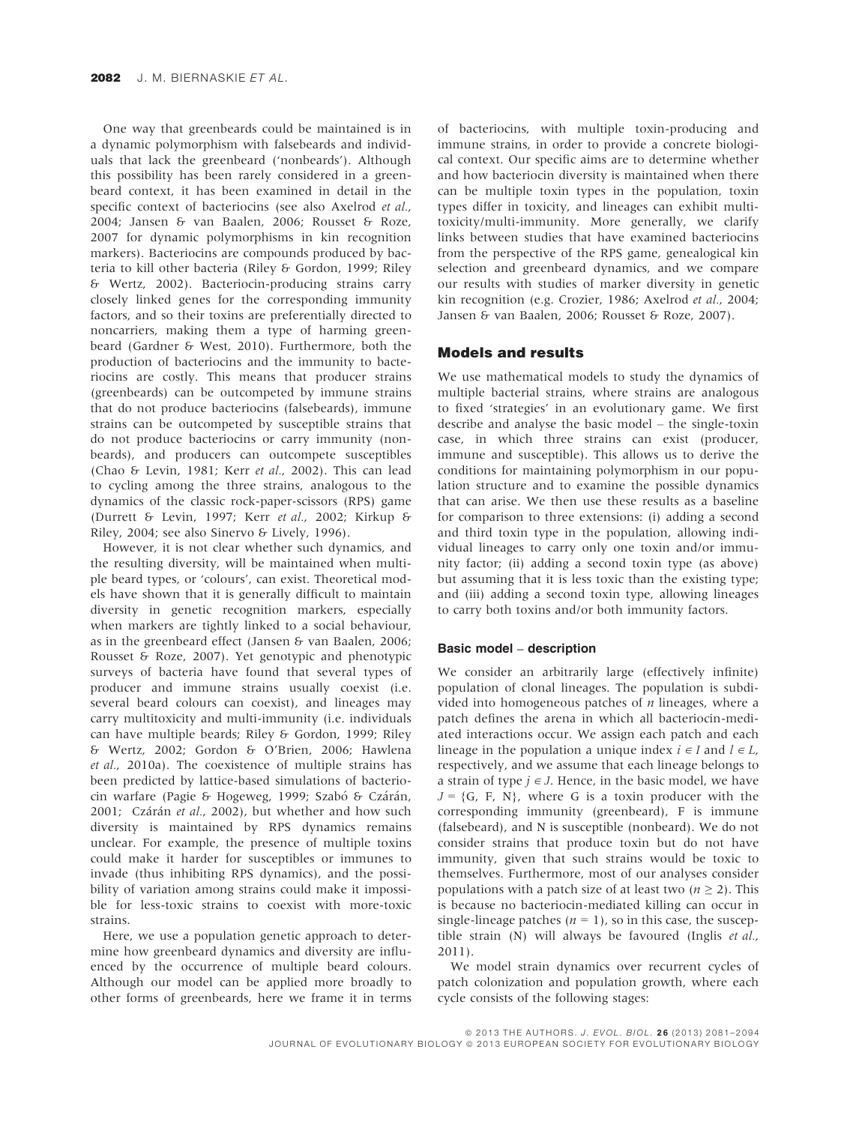One way that greenbeards could be maintained is in a dynamic polymorphism with falsebeards and individuals that lack the greenbeard ('nonbeards'). Although this possibility has been rarely considered in a greenbeard context, it has been examined in detail in the specific context of bacteriocins (see also Axelrod et al., 2004; Jansen & van Baalen, 2006; Rousset & Roze, 2007 for dynamic polymorphisms in kin recognition markers). Bacteriocins are compounds produced by bacteria to kill other bacteria (Riley & Gordon, 1999; Riley & Wertz, 2002). Bacteriocin-producing strains carry closely linked genes for the corresponding immunity factors, and so their toxins are preferentially directed to noncarriers, making them a type of harming greenbeard (Gardner & West, 2010). Furthermore, both the production of bacteriocins and the immunity to bacteriocins are costly. This means that producer strains (greenbeards) can be outcompeted by immune strains that do not produce bacteriocins (falsebeards), immune strains can be outcompeted by susceptible strains that do not produce bacteriocins or carry immunity (nonbeards), and producers can outcompete susceptibles (Chao & Levin, 1981; Kerr et al., 2002). This can lead to cycling among the three strains, analogous to the dynamics of the classic rock-paper-scissors (RPS) game (Durrett & Levin, 1997; Kerr et al., 2002; Kirkup & Riley, 2004; see also Sinervo & Lively, 1996).

However, it is not clear whether such dynamics, and the resulting diversity, will be maintained when multiple beard types, or 'colours', can exist. Theoretical models have shown that it is generally difficult to maintain diversity in genetic recognition markers, especially when markers are tightly linked to a social behaviour, as in the greenbeard effect (Jansen & van Baalen, 2006; Rousset & Roze, 2007). Yet genotypic and phenotypic surveys of bacteria have found that several types of producer and immune strains usually coexist (i.e. several beard colours can coexist), and lineages may carry multitoxicity and multi-immunity (i.e. individuals can have multiple beards; Riley & Gordon, 1999; Riley & Wertz, 2002; Gordon & O'Brien, 2006; Hawlena et al., 2010a). The coexistence of multiple strains has been predicted by lattice-based simulations of bacteriocin warfare (Pagie & Hogeweg, 1999; Szabó & Czárán, 2001; Czárán et al., 2002), but whether and how such diversity is maintained by RPS dynamics remains unclear. For example, the presence of multiple toxins could make it harder for susceptibles or immunes to invade (thus inhibiting RPS dynamics), and the possibility of variation among strains could make it impossible for less-toxic strains to coexist with more-toxic strains.

Here, we use a population genetic approach to determine how greenbeard dynamics and diversity are influenced by the occurrence of multiple beard colours. Although our model can be applied more broadly to other forms of greenbeards, here we frame it in terms

of bacteriocins, with multiple toxin-producing and immune strains, in order to provide a concrete biological context. Our specific aims are to determine whether and how bacteriocin diversity is maintained when there can be multiple toxin types in the population, toxin types differ in toxicity, and lineages can exhibit multitoxicity/multi-immunity. More generally, we clarify links between studies that have examined bacteriocins from the perspective of the RPS game, genealogical kin selection and greenbeard dynamics, and we compare our results with studies of marker diversity in genetic kin recognition (e.g. Crozier, 1986; Axelrod et al., 2004; Jansen & van Baalen, 2006; Rousset & Roze, 2007).

## Models and results

We use mathematical models to study the dynamics of multiple bacterial strains, where strains are analogous to fixed 'strategies' in an evolutionary game. We first describe and analyse the basic model – the single-toxin case, in which three strains can exist (producer, immune and susceptible). This allows us to derive the conditions for maintaining polymorphism in our population structure and to examine the possible dynamics that can arise. We then use these results as a baseline for comparison to three extensions: (i) adding a second and third toxin type in the population, allowing individual lineages to carry only one toxin and/or immunity factor; (ii) adding a second toxin type (as above) but assuming that it is less toxic than the existing type; and (iii) adding a second toxin type, allowing lineages to carry both toxins and/or both immunity factors.

#### Basic model – description

We consider an arbitrarily large (effectively infinite) population of clonal lineages. The population is subdivided into homogeneous patches of  $n$  lineages, where a patch defines the arena in which all bacteriocin-mediated interactions occur. We assign each patch and each lineage in the population a unique index  $i \in I$  and  $l \in L$ , respectively, and we assume that each lineage belongs to a strain of type  $j \in J$ . Hence, in the basic model, we have  $J = \{G, F, N\}$ , where G is a toxin producer with the corresponding immunity (greenbeard), F is immune (falsebeard), and N is susceptible (nonbeard). We do not consider strains that produce toxin but do not have immunity, given that such strains would be toxic to themselves. Furthermore, most of our analyses consider populations with a patch size of at least two ( $n \geq 2$ ). This is because no bacteriocin-mediated killing can occur in single-lineage patches ( $n = 1$ ), so in this case, the susceptible strain (N) will always be favoured (Inglis et al., 2011).

We model strain dynamics over recurrent cycles of patch colonization and population growth, where each cycle consists of the following stages: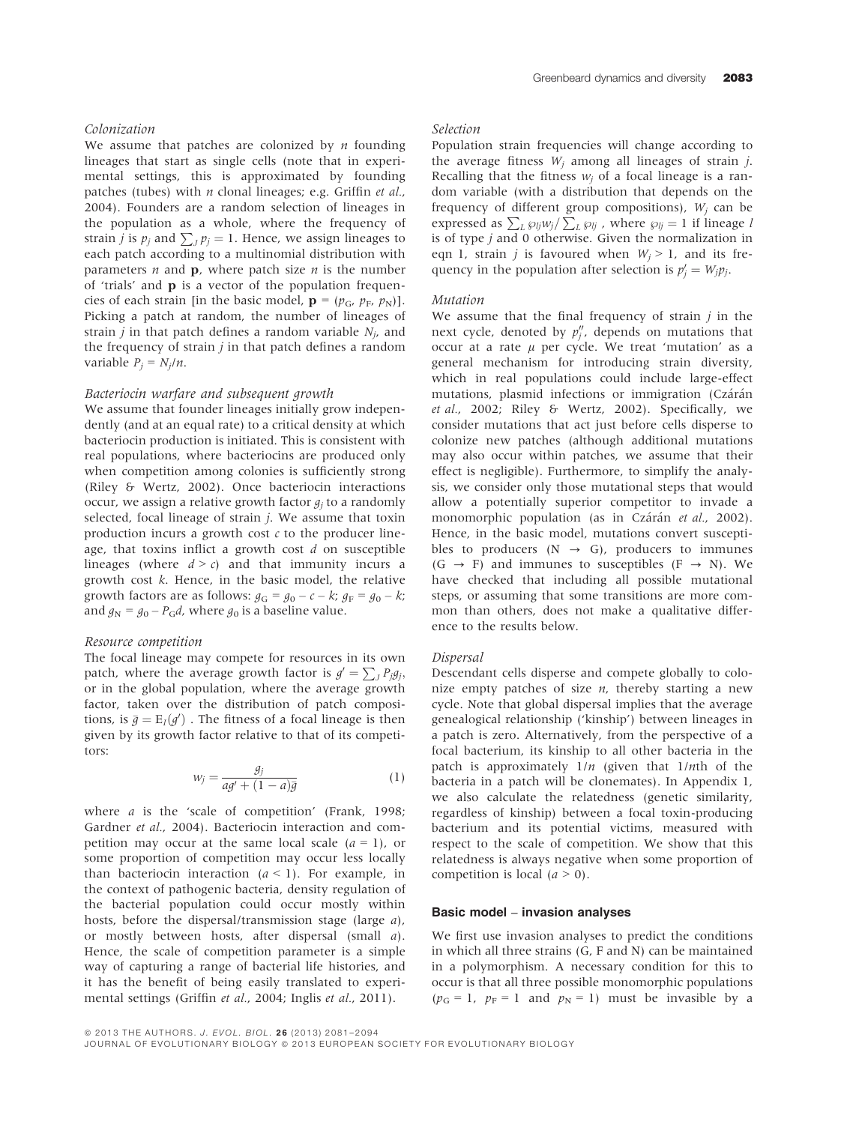## Colonization

We assume that patches are colonized by  $n$  founding lineages that start as single cells (note that in experimental settings, this is approximated by founding patches (tubes) with  $n$  clonal lineages; e.g. Griffin et al., 2004). Founders are a random selection of lineages in the population as a whole, where the frequency of strain *j* is  $p_j$  and  $\sum_j p_j = 1$ . Hence, we assign lineages to each natch according to a multinomial distribution with each patch according to a multinomial distribution with parameters  $n$  and  $p$ , where patch size  $n$  is the number of 'trials' and p is a vector of the population frequencies of each strain [in the basic model,  $\mathbf{p} = (p_G, p_F, p_N)$ ]. Picking a patch at random, the number of lineages of strain *j* in that patch defines a random variable  $N_i$ , and the frequency of strain  $j$  in that patch defines a random variable  $P_i = N_i/n$ .

#### Bacteriocin warfare and subsequent growth

We assume that founder lineages initially grow independently (and at an equal rate) to a critical density at which bacteriocin production is initiated. This is consistent with real populations, where bacteriocins are produced only when competition among colonies is sufficiently strong (Riley & Wertz, 2002). Once bacteriocin interactions occur, we assign a relative growth factor  $g_i$  to a randomly selected, focal lineage of strain j. We assume that toxin production incurs a growth cost  $c$  to the producer lineage, that toxins inflict a growth cost  $d$  on susceptible lineages (where  $d > c$ ) and that immunity incurs a growth cost k. Hence, in the basic model, the relative growth factors are as follows:  $g_G = g_0 - c - k$ ;  $g_F = g_0 - k$ ; and  $g_N = g_0 - P_G d$ , where  $g_0$  is a baseline value.

#### Resource competition

The focal lineage may compete for resources in its own patch, where the average growth factor is  $g' = \sum_{J} P_{j}g_{j}$ ,<br>or in the global population, where the average growth or in the global population, where the average growth factor, taken over the distribution of patch compositions, is  $\bar{g} = E_I(g')$ . The fitness of a focal lineage is then<br>given by its growth factor relative to that of its connetigiven by its growth factor relative to that of its competitors:

$$
w_j = \frac{g_j}{ag' + (1 - a)\overline{g}}
$$
 (1)

where *a* is the 'scale of competition' (Frank, 1998; Gardner et al., 2004). Bacteriocin interaction and competition may occur at the same local scale  $(a = 1)$ , or some proportion of competition may occur less locally than bacteriocin interaction  $(a < 1)$ . For example, in the context of pathogenic bacteria, density regulation of the bacterial population could occur mostly within hosts, before the dispersal/transmission stage (large a), or mostly between hosts, after dispersal (small a). Hence, the scale of competition parameter is a simple way of capturing a range of bacterial life histories, and it has the benefit of being easily translated to experimental settings (Griffin et al., 2004; Inglis et al., 2011).

#### Selection

Population strain frequencies will change according to the average fitness  $W_i$  among all lineages of strain j. Recalling that the fitness  $w_i$  of a focal lineage is a random variable (with a distribution that depends on the frequency of different group compositions),  $W_i$  can be expressed as  $\sum_{L} \wp_{ij} w_j / \sum_{L} \wp_{lj}$ , where  $\wp_{lj} = 1$  if lineage l<br>is of type *i* and 0 otherwise. Given the normalization in is of type j and 0 otherwise. Given the normalization in eqn 1, strain *j* is favoured when  $W_i > 1$ , and its frequency in the population after selection is  $p'_j = W_j p_j$ .

#### Mutation

We assume that the final frequency of strain  $j$  in the next cycle, denoted by  $p_j''$ , depends on mutations that occur at a rate  $\mu$  per cycle. We treat 'mutation' as a general mechanism for introducing strain diversity, which in real populations could include large-effect mutations, plasmid infections or immigration (Czárán et al., 2002; Riley & Wertz, 2002). Specifically, we consider mutations that act just before cells disperse to colonize new patches (although additional mutations may also occur within patches, we assume that their effect is negligible). Furthermore, to simplify the analysis, we consider only those mutational steps that would allow a potentially superior competitor to invade a monomorphic population (as in Czárán et al., 2002). Hence, in the basic model, mutations convert susceptibles to producers  $(N \rightarrow G)$ , producers to immunes  $(G \rightarrow F)$  and immunes to susceptibles  $(F \rightarrow N)$ . We have checked that including all possible mutational steps, or assuming that some transitions are more common than others, does not make a qualitative difference to the results below.

#### Dispersal

Descendant cells disperse and compete globally to colonize empty patches of size  $n$ , thereby starting a new cycle. Note that global dispersal implies that the average genealogical relationship ('kinship') between lineages in a patch is zero. Alternatively, from the perspective of a focal bacterium, its kinship to all other bacteria in the patch is approximately  $1/n$  (given that  $1/nth$  of the bacteria in a patch will be clonemates). In Appendix 1, we also calculate the relatedness (genetic similarity, regardless of kinship) between a focal toxin-producing bacterium and its potential victims, measured with respect to the scale of competition. We show that this relatedness is always negative when some proportion of competition is local  $(a > 0)$ .

#### Basic model – invasion analyses

We first use invasion analyses to predict the conditions in which all three strains (G, F and N) can be maintained in a polymorphism. A necessary condition for this to occur is that all three possible monomorphic populations  $(p_G = 1, p_F = 1$  and  $p_N = 1$ ) must be invasible by a

JOURNAL OF EVOLUTIONARY BIOLOGY @ 2013 EUROPEAN SOCIETY FOR EVOLUTIONARY BIOLOGY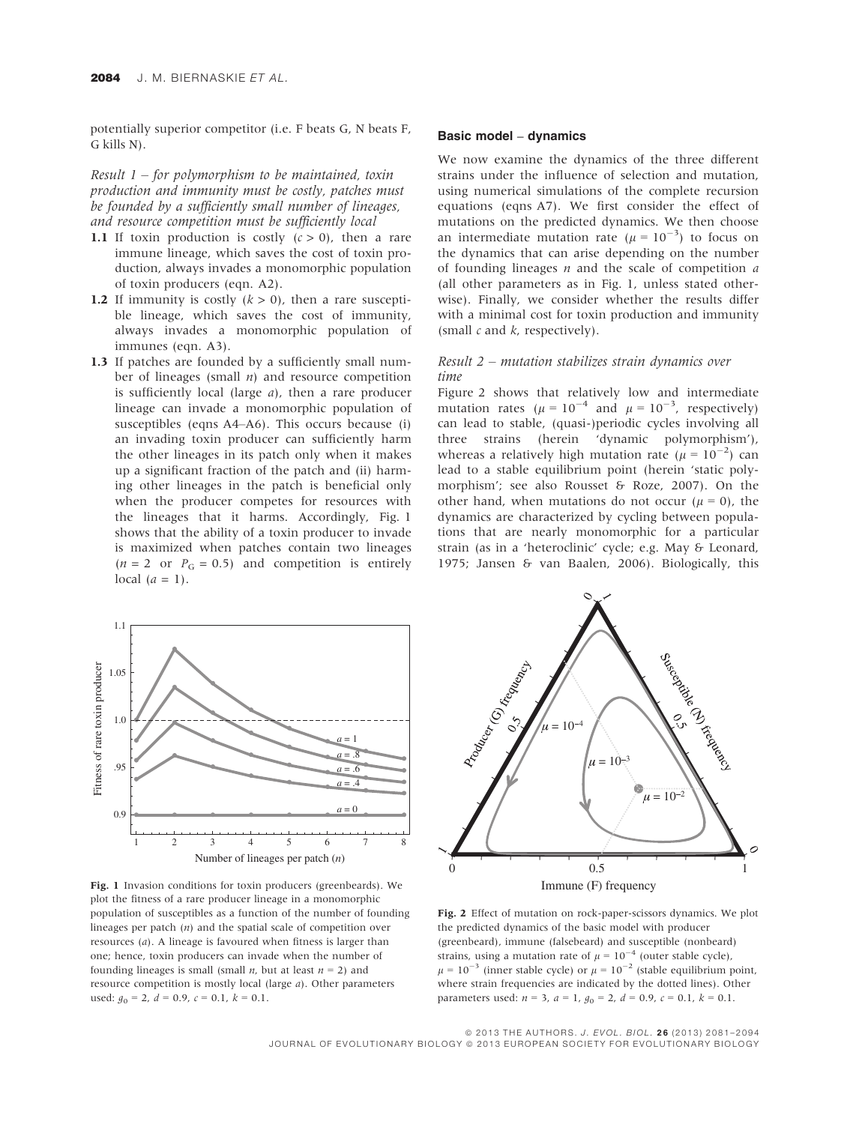potentially superior competitor (i.e. F beats G, N beats F, G kills N).

Result  $1$  – for polymorphism to be maintained, toxin production and immunity must be costly, patches must be founded by a sufficiently small number of lineages, and resource competition must be sufficiently local

- 1.1 If toxin production is costly  $(c > 0)$ , then a rare immune lineage, which saves the cost of toxin production, always invades a monomorphic population of toxin producers (eqn. A2).
- 1.2 If immunity is costly  $(k > 0)$ , then a rare susceptible lineage, which saves the cost of immunity, always invades a monomorphic population of immunes (eqn. A3).
- 1.3 If patches are founded by a sufficiently small number of lineages (small  $n$ ) and resource competition is sufficiently local (large  $a$ ), then a rare producer lineage can invade a monomorphic population of susceptibles (eqns A4–A6). This occurs because (i) an invading toxin producer can sufficiently harm the other lineages in its patch only when it makes up a significant fraction of the patch and (ii) harming other lineages in the patch is beneficial only when the producer competes for resources with the lineages that it harms. Accordingly, Fig. 1 shows that the ability of a toxin producer to invade is maximized when patches contain two lineages  $(n = 2 \text{ or } P_{\text{G}} = 0.5)$  and competition is entirely local  $(a = 1)$ .

#### Basic model – dynamics

We now examine the dynamics of the three different strains under the influence of selection and mutation, using numerical simulations of the complete recursion equations (eqns A7). We first consider the effect of mutations on the predicted dynamics. We then choose an intermediate mutation rate ( $\mu = 10^{-3}$ ) to focus on the dynamics that can arise depending on the number of founding lineages  $n$  and the scale of competition  $a$ (all other parameters as in Fig. 1, unless stated otherwise). Finally, we consider whether the results differ with a minimal cost for toxin production and immunity (small  $c$  and  $k$ , respectively).

#### Result 2 – mutation stabilizes strain dynamics over time

Figure 2 shows that relatively low and intermediate mutation rates ( $\mu = 10^{-4}$  and  $\mu = 10^{-3}$ , respectively) can lead to stable, (quasi-)periodic cycles involving all three strains (herein 'dynamic polymorphism'), whereas a relatively high mutation rate ( $\mu = 10^{-2}$ ) can lead to a stable equilibrium point (herein 'static polymorphism'; see also Rousset & Roze, 2007). On the other hand, when mutations do not occur ( $\mu = 0$ ), the dynamics are characterized by cycling between populations that are nearly monomorphic for a particular strain (as in a 'heteroclinic' cycle; e.g. May & Leonard, 1975; Jansen & van Baalen, 2006). Biologically, this



Fig. 1 Invasion conditions for toxin producers (greenbeards). We plot the fitness of a rare producer lineage in a monomorphic population of susceptibles as a function of the number of founding lineages per patch  $(n)$  and the spatial scale of competition over resources (a). A lineage is favoured when fitness is larger than one; hence, toxin producers can invade when the number of founding lineages is small (small *n*, but at least  $n = 2$ ) and resource competition is mostly local (large a). Other parameters used:  $g_0 = 2$ ,  $d = 0.9$ ,  $c = 0.1$ ,  $k = 0.1$ .



Fig. 2 Effect of mutation on rock-paper-scissors dynamics. We plot the predicted dynamics of the basic model with producer (greenbeard), immune (falsebeard) and susceptible (nonbeard) strains, using a mutation rate of  $\mu = 10^{-4}$  (outer stable cycle),  $\mu = 10^{-3}$  (inner stable cycle) or  $\mu = 10^{-2}$  (stable equilibrium point, where strain frequencies are indicated by the dotted lines). Other parameters used:  $n = 3$ ,  $a = 1$ ,  $g_0 = 2$ ,  $d = 0.9$ ,  $c = 0.1$ ,  $k = 0.1$ .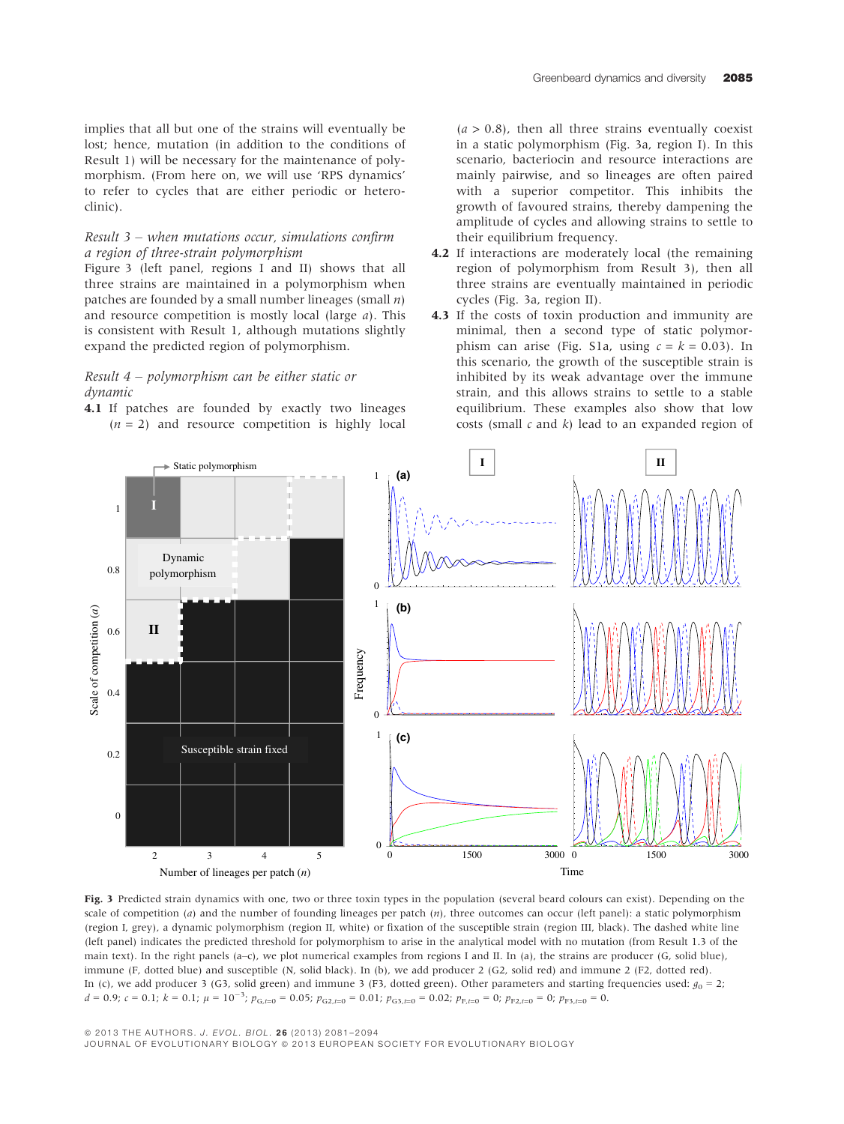implies that all but one of the strains will eventually be lost; hence, mutation (in addition to the conditions of Result 1) will be necessary for the maintenance of polymorphism. (From here on, we will use 'RPS dynamics' to refer to cycles that are either periodic or heteroclinic).

## Result 3 – when mutations occur, simulations confirm a region of three-strain polymorphism

Figure 3 (left panel, regions I and II) shows that all three strains are maintained in a polymorphism when patches are founded by a small number lineages (small  $n$ ) and resource competition is mostly local (large  $a$ ). This is consistent with Result 1, although mutations slightly expand the predicted region of polymorphism.

## Result 4 – polymorphism can be either static or dynamic

4.1 If patches are founded by exactly two lineages  $(n = 2)$  and resource competition is highly local  $(a > 0.8)$ , then all three strains eventually coexist in a static polymorphism (Fig. 3a, region I). In this scenario, bacteriocin and resource interactions are mainly pairwise, and so lineages are often paired with a superior competitor. This inhibits the growth of favoured strains, thereby dampening the amplitude of cycles and allowing strains to settle to their equilibrium frequency.

- 4.2 If interactions are moderately local (the remaining region of polymorphism from Result 3), then all three strains are eventually maintained in periodic cycles (Fig. 3a, region II).
- 4.3 If the costs of toxin production and immunity are minimal, then a second type of static polymorphism can arise (Fig. S1a, using  $c = k = 0.03$ ). In this scenario, the growth of the susceptible strain is inhibited by its weak advantage over the immune strain, and this allows strains to settle to a stable equilibrium. These examples also show that low costs (small  $c$  and  $k$ ) lead to an expanded region of



Fig. 3 Predicted strain dynamics with one, two or three toxin types in the population (several beard colours can exist). Depending on the scale of competition (a) and the number of founding lineages per patch  $(n)$ , three outcomes can occur (left panel): a static polymorphism (region I, grey), a dynamic polymorphism (region II, white) or fixation of the susceptible strain (region III, black). The dashed white line (left panel) indicates the predicted threshold for polymorphism to arise in the analytical model with no mutation (from Result 1.3 of the main text). In the right panels (a–c), we plot numerical examples from regions I and II. In (a), the strains are producer (G, solid blue), immune (F, dotted blue) and susceptible (N, solid black). In (b), we add producer 2 (G2, solid red) and immune 2 (F2, dotted red). In (c), we add producer 3 (G3, solid green) and immune 3 (F3, dotted green). Other parameters and starting frequencies used:  $g_0 = 2$ ;  $d = 0.9; c = 0.1; k = 0.1; \mu = 10^{-3}; p_{G,t=0} = 0.05; p_{G2,t=0} = 0.01; p_{G3,t=0} = 0.02; p_{F,t=0} = 0; p_{F2,t=0} = 0; p_{F3,t=0} = 0.$ 

JOURNAL OF EVOLUTIONARY BIOLOGY @ 2013 EUROPEAN SOCIETY FOR EVOLUTIONARY BIOLOGY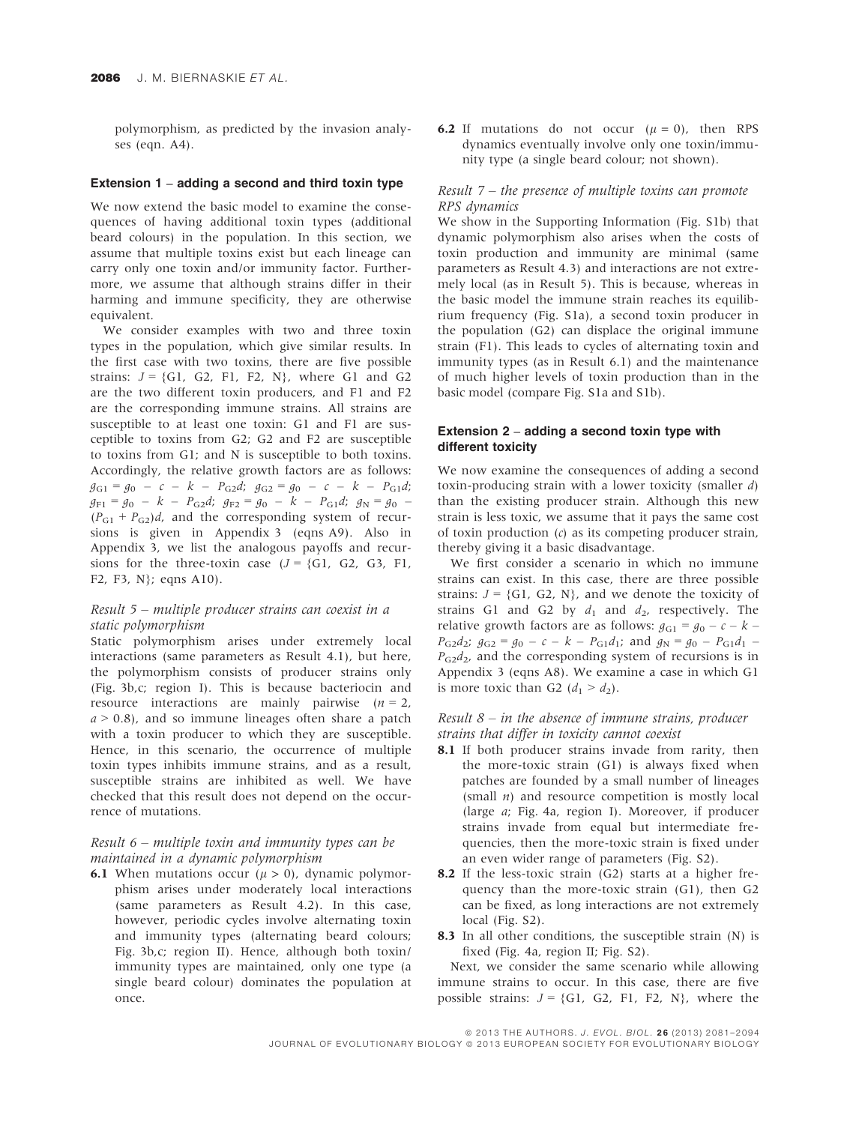polymorphism, as predicted by the invasion analyses (eqn. A4).

#### Extension 1 – adding a second and third toxin type

We now extend the basic model to examine the consequences of having additional toxin types (additional beard colours) in the population. In this section, we assume that multiple toxins exist but each lineage can carry only one toxin and/or immunity factor. Furthermore, we assume that although strains differ in their harming and immune specificity, they are otherwise equivalent.

We consider examples with two and three toxin types in the population, which give similar results. In the first case with two toxins, there are five possible strains:  $J = \{G1, G2, F1, F2, N\}$ , where G1 and G2 are the two different toxin producers, and F1 and F2 are the corresponding immune strains. All strains are susceptible to at least one toxin: G1 and F1 are susceptible to toxins from G2; G2 and F2 are susceptible to toxins from G1; and N is susceptible to both toxins. Accordingly, the relative growth factors are as follows:  $g_{G1} = g_0 - c - k - P_{G2}d$ ;  $g_{G2} = g_0 - c - k - P_{G1}d$ ;  $g_{F1} = g_0 - k - P_{G2}d$ ;  $g_{F2} = g_0 - k - P_{G1}d$ ;  $g_N = g_0$  $(P_{G1} + P_{G2})d$ , and the corresponding system of recursions is given in Appendix 3 (eqns A9). Also in Appendix 3, we list the analogous payoffs and recursions for the three-toxin case  $(J = \{G1, G2, G3, F1,$ F2, F3, N}; eqns A10).

#### Result 5 – multiple producer strains can coexist in a static polymorphism

Static polymorphism arises under extremely local interactions (same parameters as Result 4.1), but here, the polymorphism consists of producer strains only (Fig. 3b,c; region I). This is because bacteriocin and resource interactions are mainly pairwise  $(n = 2)$ ,  $a > 0.8$ ), and so immune lineages often share a patch with a toxin producer to which they are susceptible. Hence, in this scenario, the occurrence of multiple toxin types inhibits immune strains, and as a result, susceptible strains are inhibited as well. We have checked that this result does not depend on the occurrence of mutations.

## Result  $6$  – multiple toxin and immunity types can be maintained in a dynamic polymorphism

**6.1** When mutations occur ( $\mu > 0$ ), dynamic polymorphism arises under moderately local interactions (same parameters as Result 4.2). In this case, however, periodic cycles involve alternating toxin and immunity types (alternating beard colours; Fig. 3b,c; region II). Hence, although both toxin/ immunity types are maintained, only one type (a single beard colour) dominates the population at once.

**6.2** If mutations do not occur  $(\mu = 0)$ , then RPS dynamics eventually involve only one toxin/immunity type (a single beard colour; not shown).

## Result 7 – the presence of multiple toxins can promote RPS dynamics

We show in the Supporting Information (Fig. S1b) that dynamic polymorphism also arises when the costs of toxin production and immunity are minimal (same parameters as Result 4.3) and interactions are not extremely local (as in Result 5). This is because, whereas in the basic model the immune strain reaches its equilibrium frequency (Fig. S1a), a second toxin producer in the population (G2) can displace the original immune strain (F1). This leads to cycles of alternating toxin and immunity types (as in Result 6.1) and the maintenance of much higher levels of toxin production than in the basic model (compare Fig. S1a and S1b).

### Extension 2 – adding a second toxin type with different toxicity

We now examine the consequences of adding a second toxin-producing strain with a lower toxicity (smaller d) than the existing producer strain. Although this new strain is less toxic, we assume that it pays the same cost of toxin production  $(c)$  as its competing producer strain, thereby giving it a basic disadvantage.

We first consider a scenario in which no immune strains can exist. In this case, there are three possible strains:  $J = \{G1, G2, N\}$ , and we denote the toxicity of strains G1 and G2 by  $d_1$  and  $d_2$ , respectively. The relative growth factors are as follows:  $g_{G1} = g_0 - c - k$  $P_{G2}d_2$ ;  $g_{G2} = g_0 - c - k - P_{G1}d_1$ ; and  $g_N = g_0 - P_{G1}d_1$  $P_{G2}d_2$ , and the corresponding system of recursions is in Appendix 3 (eqns A8). We examine a case in which G1 is more toxic than G2  $(d_1 > d_2)$ .

## Result  $8 - in$  the absence of immune strains, producer strains that differ in toxicity cannot coexist

- 8.1 If both producer strains invade from rarity, then the more-toxic strain (G1) is always fixed when patches are founded by a small number of lineages (small  $n$ ) and resource competition is mostly local (large a; Fig. 4a, region I). Moreover, if producer strains invade from equal but intermediate frequencies, then the more-toxic strain is fixed under an even wider range of parameters (Fig. S2).
- 8.2 If the less-toxic strain (G2) starts at a higher frequency than the more-toxic strain (G1), then G2 can be fixed, as long interactions are not extremely local (Fig. S2).
- 8.3 In all other conditions, the susceptible strain (N) is fixed (Fig. 4a, region II; Fig. S2).

Next, we consider the same scenario while allowing immune strains to occur. In this case, there are five possible strains:  $J = \{G1, G2, F1, F2, N\}$ , where the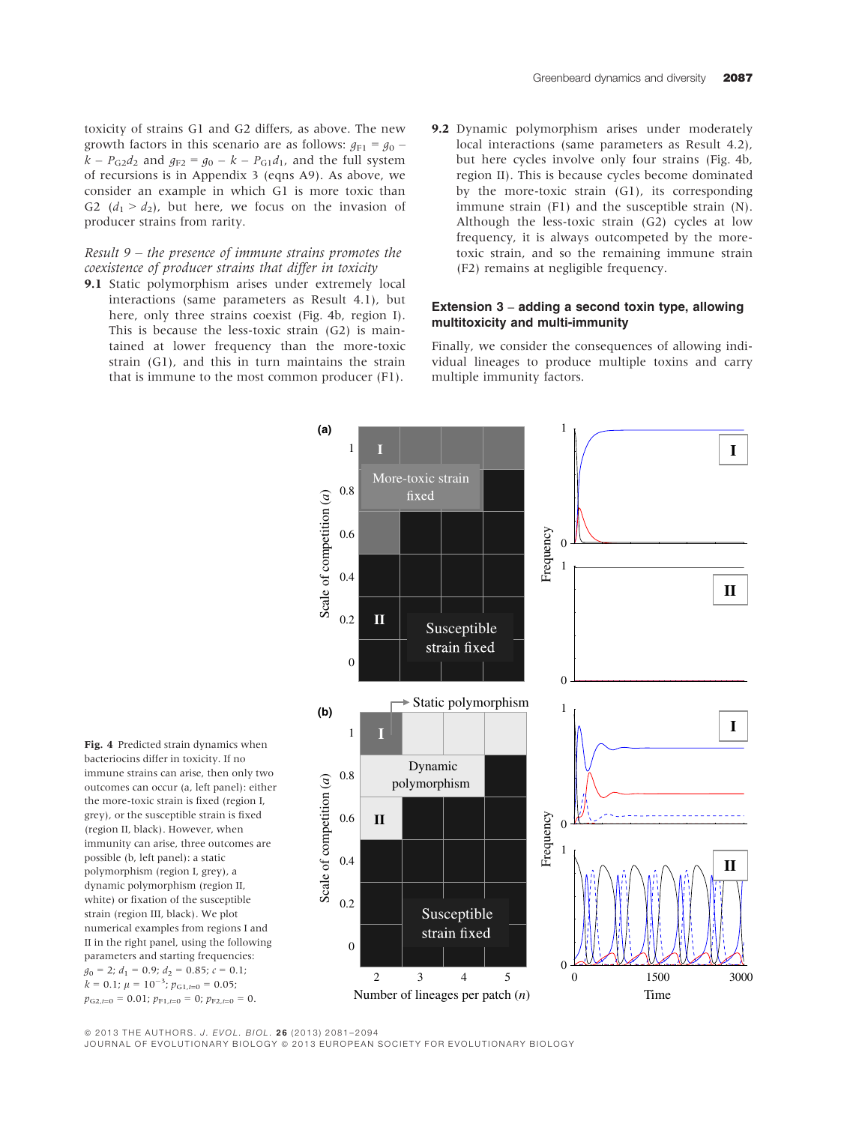## Result 9 – the presence of immune strains promotes the coexistence of producer strains that differ in toxicity

producer strains from rarity.

9.1 Static polymorphism arises under extremely local interactions (same parameters as Result 4.1), but here, only three strains coexist (Fig. 4b, region I). This is because the less-toxic strain (G2) is maintained at lower frequency than the more-toxic strain (G1), and this in turn maintains the strain that is immune to the most common producer (F1).

9.2 Dynamic polymorphism arises under moderately local interactions (same parameters as Result 4.2), but here cycles involve only four strains (Fig. 4b, region II). This is because cycles become dominated by the more-toxic strain (G1), its corresponding immune strain (F1) and the susceptible strain (N). Although the less-toxic strain (G2) cycles at low frequency, it is always outcompeted by the moretoxic strain, and so the remaining immune strain (F2) remains at negligible frequency.

## Extension 3 – adding a second toxin type, allowing multitoxicity and multi-immunity

Finally, we consider the consequences of allowing individual lineages to produce multiple toxins and carry multiple immunity factors.



Fig. 4 Predicted strain dynamics when bacteriocins differ in toxicity. If no immune strains can arise, then only two outcomes can occur (a, left panel): either the more-toxic strain is fixed (region I, grey), or the susceptible strain is fixed (region II, black). However, when immunity can arise, three outcomes are possible (b, left panel): a static polymorphism (region I, grey), a dynamic polymorphism (region II, white) or fixation of the susceptible strain (region III, black). We plot numerical examples from regions I and II in the right panel, using the following parameters and starting frequencies:  $g_0 = 2$ ;  $d_1 = 0.9$ ;  $d_2 = 0.85$ ;  $c = 0.1$ ;  $k = 0.1; \mu = 10^{-3}; p_{\text{G1},t=0} = 0.05;$  $p_{G2,t=0} = 0.01$ ;  $p_{F1,t=0} = 0$ ;  $p_{F2,t=0} = 0$ .

© 2013 THE AUTHORS. J. EVOL. BIOL. 26 (2013) 2081-2094 JOURNAL OF EVOLUTIONARY BIOLOGY @ 2013 EUROPEAN SOCIETY FOR EVOLUTIONARY BIOLOGY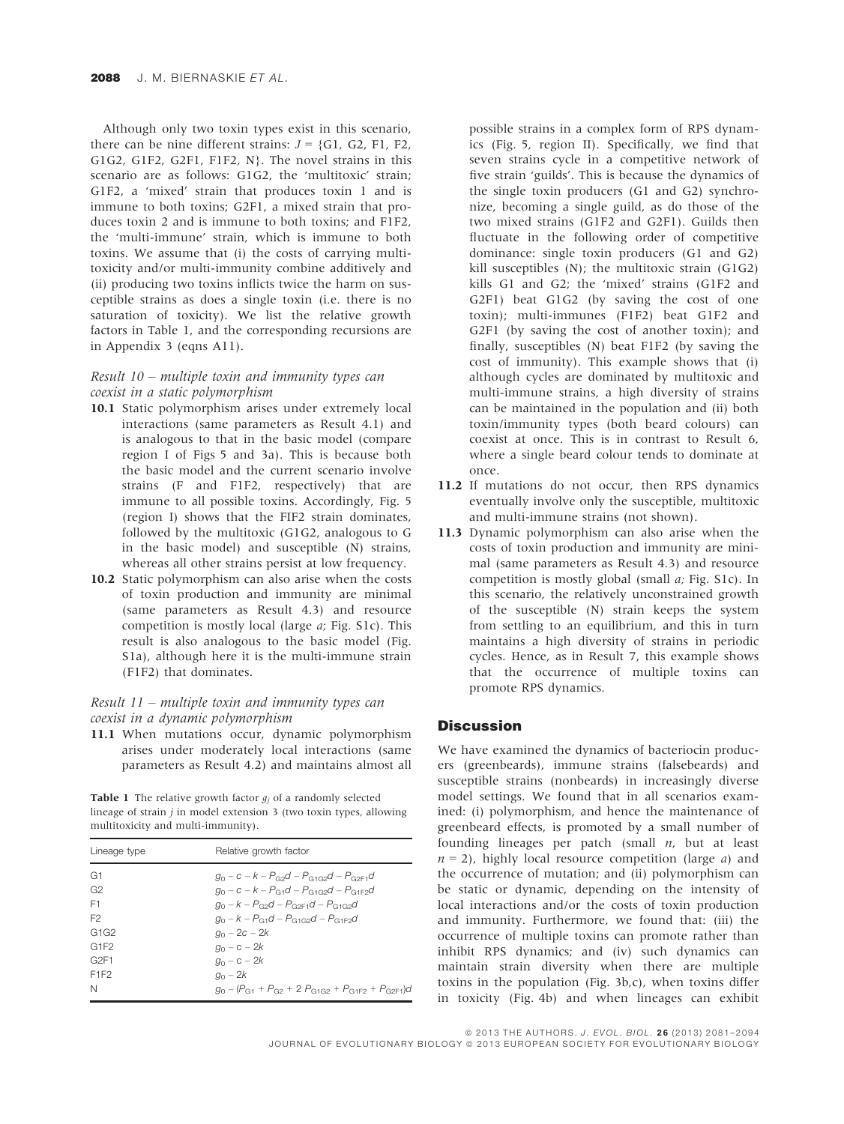Although only two toxin types exist in this scenario, there can be nine different strains:  $J = \{G1, G2, F1, F2,$ G1G2, G1F2, G2F1, F1F2, N}. The novel strains in this scenario are as follows: G1G2, the 'multitoxic' strain; G1F2, a 'mixed' strain that produces toxin 1 and is immune to both toxins; G2F1, a mixed strain that produces toxin 2 and is immune to both toxins; and F1F2, the 'multi-immune' strain, which is immune to both toxins. We assume that (i) the costs of carrying multitoxicity and/or multi-immunity combine additively and (ii) producing two toxins inflicts twice the harm on susceptible strains as does a single toxin (i.e. there is no saturation of toxicity). We list the relative growth factors in Table 1, and the corresponding recursions are in Appendix 3 (eqns A11).

## Result 10 – multiple toxin and immunity types can coexist in a static polymorphism

- 10.1 Static polymorphism arises under extremely local interactions (same parameters as Result 4.1) and is analogous to that in the basic model (compare region I of Figs 5 and 3a). This is because both the basic model and the current scenario involve strains (F and F1F2, respectively) that are immune to all possible toxins. Accordingly, Fig. 5 (region I) shows that the FIF2 strain dominates, followed by the multitoxic (G1G2, analogous to G in the basic model) and susceptible (N) strains, whereas all other strains persist at low frequency.
- 10.2 Static polymorphism can also arise when the costs of toxin production and immunity are minimal (same parameters as Result 4.3) and resource competition is mostly local (large a; Fig. S1c). This result is also analogous to the basic model (Fig. S1a), although here it is the multi-immune strain (F1F2) that dominates.

## Result 11 – multiple toxin and immunity types can coexist in a dynamic polymorphism

11.1 When mutations occur, dynamic polymorphism arises under moderately local interactions (same parameters as Result 4.2) and maintains almost all

**Table 1** The relative growth factor  $g_i$  of a randomly selected lineage of strain  $j$  in model extension 3 (two toxin types, allowing multitoxicity and multi-immunity).

| Lineage type     | Relative growth factor                                                |
|------------------|-----------------------------------------------------------------------|
| G1               | $q_0 - c - k - P_0 \circ d - P_0 \circ d - P_0 \circ \varepsilon_1 d$ |
| G <sub>2</sub>   | $a_0 - c - k - P_{G1}d - P_{G1G2}d - P_{G1E2}d$                       |
| F1               | $q_0 - k - P_{G2}d - P_{G2F1}d - P_{G1G2}d$                           |
| F <sub>2</sub>   | $q_0 - k - P_{c1}d - P_{c1}d - P_{c1}d$                               |
| G1G2             | $q_0 - 2c - 2k$                                                       |
| G1F2             | $a_0 - c - 2k$                                                        |
| G <sub>2F1</sub> | $g_0$ – c – 2k                                                        |
| F <sub>1F2</sub> | $g_0 - 2k$                                                            |
| N                | $q_0 - (P_{G1} + P_{G2} + 2 P_{G1G2} + P_{G1F2} + P_{G2F1})d$         |

possible strains in a complex form of RPS dynamics (Fig. 5, region II). Specifically, we find that seven strains cycle in a competitive network of five strain 'guilds'. This is because the dynamics of the single toxin producers (G1 and G2) synchronize, becoming a single guild, as do those of the two mixed strains (G1F2 and G2F1). Guilds then fluctuate in the following order of competitive dominance: single toxin producers (G1 and G2) kill susceptibles (N); the multitoxic strain (G1G2) kills G1 and G2; the 'mixed' strains (G1F2 and G2F1) beat G1G2 (by saving the cost of one toxin); multi-immunes (F1F2) beat G1F2 and G2F1 (by saving the cost of another toxin); and finally, susceptibles (N) beat F1F2 (by saving the cost of immunity). This example shows that (i) although cycles are dominated by multitoxic and multi-immune strains, a high diversity of strains can be maintained in the population and (ii) both toxin/immunity types (both beard colours) can coexist at once. This is in contrast to Result 6, where a single beard colour tends to dominate at once.

- 11.2 If mutations do not occur, then RPS dynamics eventually involve only the susceptible, multitoxic and multi-immune strains (not shown).
- 11.3 Dynamic polymorphism can also arise when the costs of toxin production and immunity are minimal (same parameters as Result 4.3) and resource competition is mostly global (small a; Fig. S1c). In this scenario, the relatively unconstrained growth of the susceptible (N) strain keeps the system from settling to an equilibrium, and this in turn maintains a high diversity of strains in periodic cycles. Hence, as in Result 7, this example shows that the occurrence of multiple toxins can promote RPS dynamics.

## **Discussion**

We have examined the dynamics of bacteriocin producers (greenbeards), immune strains (falsebeards) and susceptible strains (nonbeards) in increasingly diverse model settings. We found that in all scenarios examined: (i) polymorphism, and hence the maintenance of greenbeard effects, is promoted by a small number of founding lineages per patch (small  $n$ , but at least  $n = 2$ ), highly local resource competition (large *a*) and the occurrence of mutation; and (ii) polymorphism can be static or dynamic, depending on the intensity of local interactions and/or the costs of toxin production and immunity. Furthermore, we found that: (iii) the occurrence of multiple toxins can promote rather than inhibit RPS dynamics; and (iv) such dynamics can maintain strain diversity when there are multiple toxins in the population (Fig. 3b,c), when toxins differ in toxicity (Fig. 4b) and when lineages can exhibit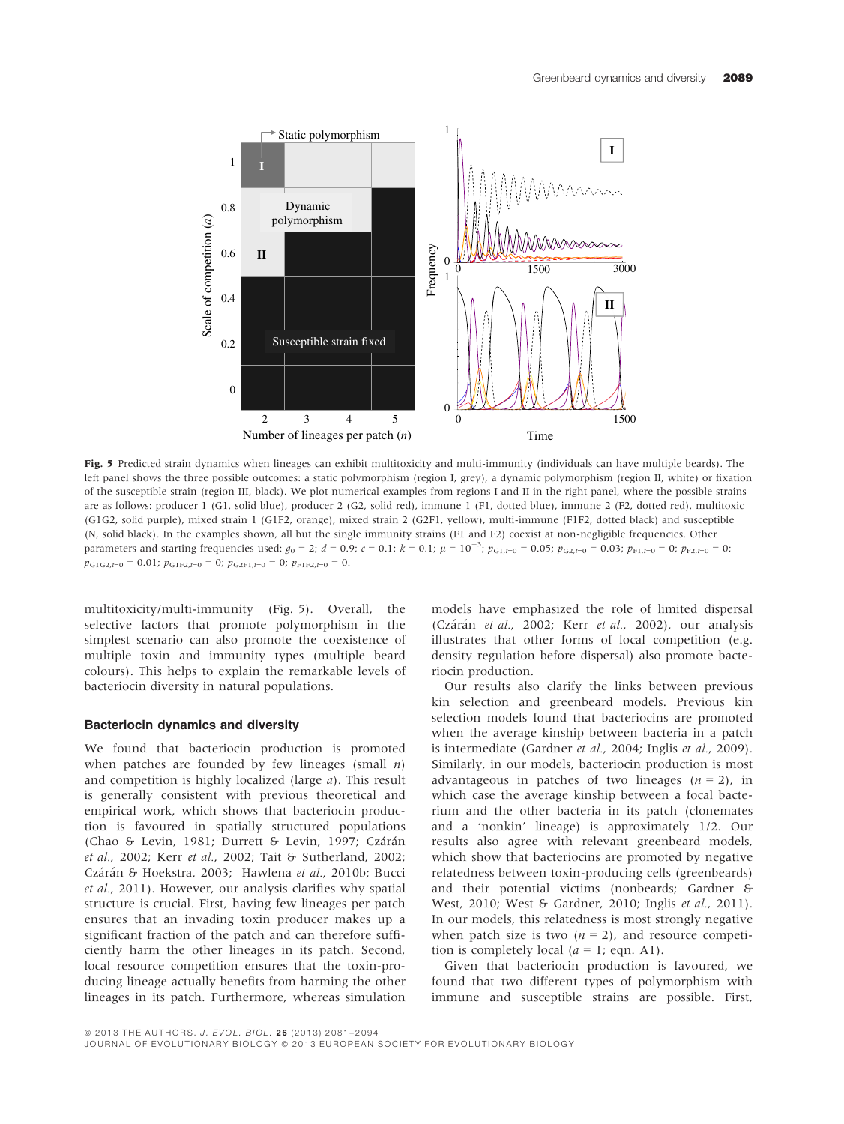

Fig. 5 Predicted strain dynamics when lineages can exhibit multitoxicity and multi-immunity (individuals can have multiple beards). The left panel shows the three possible outcomes: a static polymorphism (region I, grey), a dynamic polymorphism (region II, white) or fixation of the susceptible strain (region III, black). We plot numerical examples from regions I and II in the right panel, where the possible strains are as follows: producer 1 (G1, solid blue), producer 2 (G2, solid red), immune 1 (F1, dotted blue), immune 2 (F2, dotted red), multitoxic (G1G2, solid purple), mixed strain 1 (G1F2, orange), mixed strain 2 (G2F1, yellow), multi-immune (F1F2, dotted black) and susceptible (N, solid black). In the examples shown, all but the single immunity strains (F1 and F2) coexist at non-negligible frequencies. Other parameters and starting frequencies used:  $g_0 = 2$ ;  $d = 0.9$ ;  $c = 0.1$ ;  $k = 0.1$ ;  $\mu = 10^{-3}$ ;  $p_{G1,t=0} = 0.05$ ;  $p_{G2,t=0} = 0.03$ ;  $p_{F1,t=0} = 0$ ;  $p_{F2,t=0} = 0$ ;  $p_{\text{G1G2},t=0} = 0.01; p_{\text{G1F2},t=0} = 0; p_{\text{G2F1},t=0} = 0; p_{\text{F1F2},t=0} = 0.$ 

multitoxicity/multi-immunity (Fig. 5). Overall, the selective factors that promote polymorphism in the simplest scenario can also promote the coexistence of multiple toxin and immunity types (multiple beard colours). This helps to explain the remarkable levels of bacteriocin diversity in natural populations.

#### Bacteriocin dynamics and diversity

We found that bacteriocin production is promoted when patches are founded by few lineages (small  $n$ ) and competition is highly localized (large a). This result is generally consistent with previous theoretical and empirical work, which shows that bacteriocin production is favoured in spatially structured populations (Chao & Levin, 1981; Durrett & Levin, 1997; Czárán et al., 2002; Kerr et al., 2002; Tait & Sutherland, 2002; Czárán & Hoekstra, 2003; Hawlena et al., 2010b; Bucci et al., 2011). However, our analysis clarifies why spatial structure is crucial. First, having few lineages per patch ensures that an invading toxin producer makes up a significant fraction of the patch and can therefore sufficiently harm the other lineages in its patch. Second, local resource competition ensures that the toxin-producing lineage actually benefits from harming the other lineages in its patch. Furthermore, whereas simulation

models have emphasized the role of limited dispersal (Czárán et al., 2002; Kerr et al., 2002), our analysis illustrates that other forms of local competition (e.g. density regulation before dispersal) also promote bacteriocin production.

Our results also clarify the links between previous kin selection and greenbeard models. Previous kin selection models found that bacteriocins are promoted when the average kinship between bacteria in a patch is intermediate (Gardner et al., 2004; Inglis et al., 2009). Similarly, in our models, bacteriocin production is most advantageous in patches of two lineages  $(n = 2)$ , in which case the average kinship between a focal bacterium and the other bacteria in its patch (clonemates and a 'nonkin' lineage) is approximately 1/2. Our results also agree with relevant greenbeard models, which show that bacteriocins are promoted by negative relatedness between toxin-producing cells (greenbeards) and their potential victims (nonbeards; Gardner & West, 2010; West & Gardner, 2010; Inglis et al., 2011). In our models, this relatedness is most strongly negative when patch size is two  $(n = 2)$ , and resource competition is completely local ( $a = 1$ ; eqn. A1).

Given that bacteriocin production is favoured, we found that two different types of polymorphism with immune and susceptible strains are possible. First,

JOURNAL OF EVOLUTIONARY BIOLOGY @ 2013 EUROPEAN SOCIETY FOR EVOLUTIONARY BIOLOGY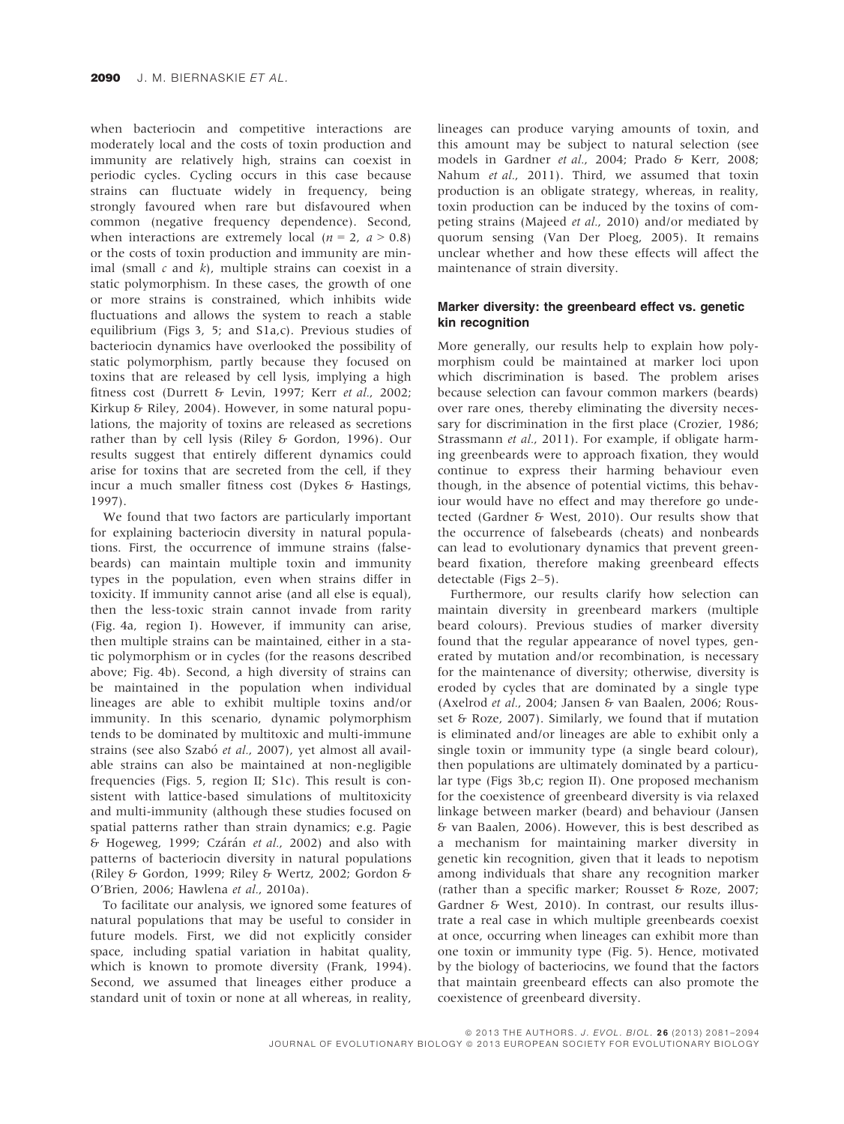when bacteriocin and competitive interactions are moderately local and the costs of toxin production and immunity are relatively high, strains can coexist in periodic cycles. Cycling occurs in this case because strains can fluctuate widely in frequency, being strongly favoured when rare but disfavoured when common (negative frequency dependence). Second, when interactions are extremely local ( $n = 2$ ,  $a > 0.8$ ) or the costs of toxin production and immunity are minimal (small  $c$  and  $k$ ), multiple strains can coexist in a static polymorphism. In these cases, the growth of one or more strains is constrained, which inhibits wide fluctuations and allows the system to reach a stable equilibrium (Figs 3, 5; and S1a,c). Previous studies of bacteriocin dynamics have overlooked the possibility of static polymorphism, partly because they focused on toxins that are released by cell lysis, implying a high fitness cost (Durrett & Levin, 1997; Kerr et al., 2002; Kirkup & Riley, 2004). However, in some natural populations, the majority of toxins are released as secretions rather than by cell lysis (Riley & Gordon, 1996). Our results suggest that entirely different dynamics could arise for toxins that are secreted from the cell, if they incur a much smaller fitness cost (Dykes & Hastings, 1997).

We found that two factors are particularly important for explaining bacteriocin diversity in natural populations. First, the occurrence of immune strains (falsebeards) can maintain multiple toxin and immunity types in the population, even when strains differ in toxicity. If immunity cannot arise (and all else is equal), then the less-toxic strain cannot invade from rarity (Fig. 4a, region I). However, if immunity can arise, then multiple strains can be maintained, either in a static polymorphism or in cycles (for the reasons described above; Fig. 4b). Second, a high diversity of strains can be maintained in the population when individual lineages are able to exhibit multiple toxins and/or immunity. In this scenario, dynamic polymorphism tends to be dominated by multitoxic and multi-immune strains (see also Szabó et al., 2007), yet almost all available strains can also be maintained at non-negligible frequencies (Figs. 5, region II; S1c). This result is consistent with lattice-based simulations of multitoxicity and multi-immunity (although these studies focused on spatial patterns rather than strain dynamics; e.g. Pagie & Hogeweg, 1999; Czárán et al., 2002) and also with patterns of bacteriocin diversity in natural populations (Riley & Gordon, 1999; Riley & Wertz, 2002; Gordon & O'Brien, 2006; Hawlena et al., 2010a).

To facilitate our analysis, we ignored some features of natural populations that may be useful to consider in future models. First, we did not explicitly consider space, including spatial variation in habitat quality, which is known to promote diversity (Frank, 1994). Second, we assumed that lineages either produce a standard unit of toxin or none at all whereas, in reality,

lineages can produce varying amounts of toxin, and this amount may be subject to natural selection (see models in Gardner et al., 2004; Prado & Kerr, 2008; Nahum et al., 2011). Third, we assumed that toxin production is an obligate strategy, whereas, in reality, toxin production can be induced by the toxins of competing strains (Majeed et al., 2010) and/or mediated by quorum sensing (Van Der Ploeg, 2005). It remains unclear whether and how these effects will affect the maintenance of strain diversity.

### Marker diversity: the greenbeard effect vs. genetic kin recognition

More generally, our results help to explain how polymorphism could be maintained at marker loci upon which discrimination is based. The problem arises because selection can favour common markers (beards) over rare ones, thereby eliminating the diversity necessary for discrimination in the first place (Crozier, 1986; Strassmann et al., 2011). For example, if obligate harming greenbeards were to approach fixation, they would continue to express their harming behaviour even though, in the absence of potential victims, this behaviour would have no effect and may therefore go undetected (Gardner & West, 2010). Our results show that the occurrence of falsebeards (cheats) and nonbeards can lead to evolutionary dynamics that prevent greenbeard fixation, therefore making greenbeard effects detectable (Figs 2–5).

Furthermore, our results clarify how selection can maintain diversity in greenbeard markers (multiple beard colours). Previous studies of marker diversity found that the regular appearance of novel types, generated by mutation and/or recombination, is necessary for the maintenance of diversity; otherwise, diversity is eroded by cycles that are dominated by a single type (Axelrod et al., 2004; Jansen & van Baalen, 2006; Rousset & Roze, 2007). Similarly, we found that if mutation is eliminated and/or lineages are able to exhibit only a single toxin or immunity type (a single beard colour), then populations are ultimately dominated by a particular type (Figs 3b,c; region II). One proposed mechanism for the coexistence of greenbeard diversity is via relaxed linkage between marker (beard) and behaviour (Jansen & van Baalen, 2006). However, this is best described as a mechanism for maintaining marker diversity in genetic kin recognition, given that it leads to nepotism among individuals that share any recognition marker (rather than a specific marker; Rousset & Roze, 2007; Gardner & West, 2010). In contrast, our results illustrate a real case in which multiple greenbeards coexist at once, occurring when lineages can exhibit more than one toxin or immunity type (Fig. 5). Hence, motivated by the biology of bacteriocins, we found that the factors that maintain greenbeard effects can also promote the coexistence of greenbeard diversity.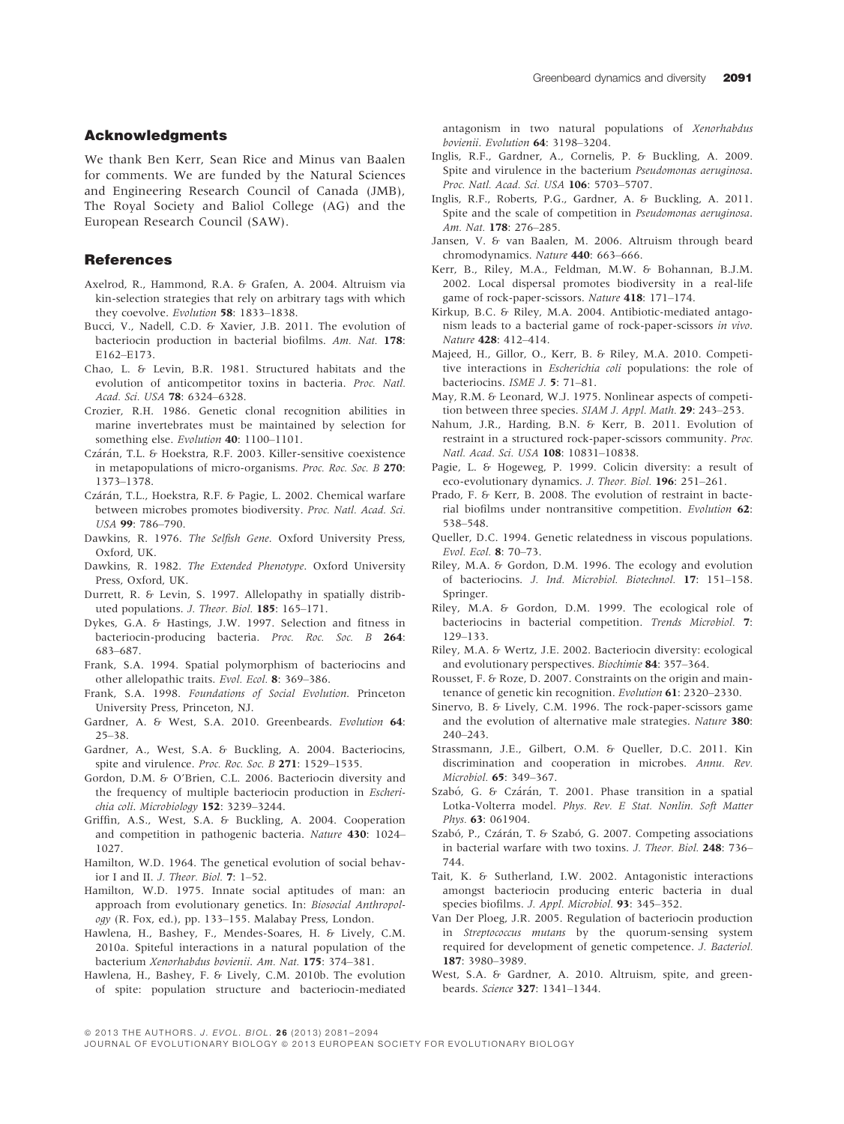## Acknowledgments

We thank Ben Kerr, Sean Rice and Minus van Baalen for comments. We are funded by the Natural Sciences and Engineering Research Council of Canada (JMB), The Royal Society and Baliol College (AG) and the European Research Council (SAW).

## References

- Axelrod, R., Hammond, R.A. & Grafen, A. 2004. Altruism via kin-selection strategies that rely on arbitrary tags with which they coevolve. Evolution 58: 1833–1838.
- Bucci, V., Nadell, C.D. & Xavier, J.B. 2011. The evolution of bacteriocin production in bacterial biofilms. Am. Nat. 178: E162–E173.
- Chao, L. & Levin, B.R. 1981. Structured habitats and the evolution of anticompetitor toxins in bacteria. Proc. Natl. Acad. Sci. USA 78: 6324–6328.
- Crozier, R.H. 1986. Genetic clonal recognition abilities in marine invertebrates must be maintained by selection for something else. Evolution 40: 1100-1101.
- Czárán, T.L. & Hoekstra, R.F. 2003. Killer-sensitive coexistence in metapopulations of micro-organisms. Proc. Roc. Soc. B 270: 1373–1378.
- Czárán, T.L., Hoekstra, R.F. & Pagie, L. 2002. Chemical warfare between microbes promotes biodiversity. Proc. Natl. Acad. Sci. USA 99: 786–790.
- Dawkins, R. 1976. The Selfish Gene. Oxford University Press, Oxford, UK.
- Dawkins, R. 1982. The Extended Phenotype. Oxford University Press, Oxford, UK.
- Durrett, R. & Levin, S. 1997. Allelopathy in spatially distributed populations. J. Theor. Biol. 185: 165–171.
- Dykes, G.A. & Hastings, J.W. 1997. Selection and fitness in bacteriocin-producing bacteria. Proc. Roc. Soc. B 264: 683–687.
- Frank, S.A. 1994. Spatial polymorphism of bacteriocins and other allelopathic traits. Evol. Ecol. 8: 369–386.
- Frank, S.A. 1998. Foundations of Social Evolution. Princeton University Press, Princeton, NJ.
- Gardner, A. & West, S.A. 2010. Greenbeards. Evolution 64: 25–38.
- Gardner, A., West, S.A. & Buckling, A. 2004. Bacteriocins, spite and virulence. Proc. Roc. Soc. B 271: 1529-1535.
- Gordon, D.M. & O'Brien, C.L. 2006. Bacteriocin diversity and the frequency of multiple bacteriocin production in Escherichia coli. Microbiology 152: 3239–3244.
- Griffin, A.S., West, S.A. & Buckling, A. 2004. Cooperation and competition in pathogenic bacteria. Nature 430: 1024– 1027.
- Hamilton, W.D. 1964. The genetical evolution of social behavior I and II. J. Theor. Biol. 7: 1–52.
- Hamilton, W.D. 1975. Innate social aptitudes of man: an approach from evolutionary genetics. In: Biosocial Anthropology (R. Fox, ed.), pp. 133–155. Malabay Press, London.
- Hawlena, H., Bashey, F., Mendes-Soares, H. & Lively, C.M. 2010a. Spiteful interactions in a natural population of the bacterium Xenorhabdus bovienii. Am. Nat. 175: 374–381.
- Hawlena, H., Bashey, F. & Lively, C.M. 2010b. The evolution of spite: population structure and bacteriocin-mediated

antagonism in two natural populations of Xenorhabdus bovienii. Evolution 64: 3198–3204.

- Inglis, R.F., Gardner, A., Cornelis, P. & Buckling, A. 2009. Spite and virulence in the bacterium Pseudomonas aeruginosa. Proc. Natl. Acad. Sci. USA 106: 5703–5707.
- Inglis, R.F., Roberts, P.G., Gardner, A. & Buckling, A. 2011. Spite and the scale of competition in Pseudomonas aeruginosa. Am. Nat. 178: 276–285.
- Jansen, V. & van Baalen, M. 2006. Altruism through beard chromodynamics. Nature 440: 663–666.
- Kerr, B., Riley, M.A., Feldman, M.W. & Bohannan, B.J.M. 2002. Local dispersal promotes biodiversity in a real-life game of rock-paper-scissors. Nature 418: 171–174.
- Kirkup, B.C. & Riley, M.A. 2004. Antibiotic-mediated antagonism leads to a bacterial game of rock-paper-scissors in vivo. Nature 428: 412–414.
- Majeed, H., Gillor, O., Kerr, B. & Riley, M.A. 2010. Competitive interactions in Escherichia coli populations: the role of bacteriocins. ISME J. 5: 71-81.
- May, R.M. & Leonard, W.J. 1975. Nonlinear aspects of competition between three species. SIAM J. Appl. Math. 29: 243-253.
- Nahum, J.R., Harding, B.N. & Kerr, B. 2011. Evolution of restraint in a structured rock-paper-scissors community. Proc. Natl. Acad. Sci. USA 108: 10831–10838.
- Pagie, L. & Hogeweg, P. 1999. Colicin diversity: a result of eco-evolutionary dynamics. J. Theor. Biol. 196: 251–261.
- Prado, F. & Kerr, B. 2008. The evolution of restraint in bacterial biofilms under nontransitive competition. Evolution 62: 538–548.
- Queller, D.C. 1994. Genetic relatedness in viscous populations. Evol. Ecol. 8: 70–73.
- Riley, M.A. & Gordon, D.M. 1996. The ecology and evolution of bacteriocins. J. Ind. Microbiol. Biotechnol. 17: 151–158. Springer.
- Riley, M.A. & Gordon, D.M. 1999. The ecological role of bacteriocins in bacterial competition. Trends Microbiol. 7: 129–133.
- Riley, M.A. & Wertz, J.E. 2002. Bacteriocin diversity: ecological and evolutionary perspectives. Biochimie 84: 357–364.
- Rousset, F. & Roze, D. 2007. Constraints on the origin and maintenance of genetic kin recognition. Evolution 61: 2320–2330.
- Sinervo, B. & Lively, C.M. 1996. The rock-paper-scissors game and the evolution of alternative male strategies. Nature 380: 240–243.
- Strassmann, J.E., Gilbert, O.M. & Queller, D.C. 2011. Kin discrimination and cooperation in microbes. Annu. Rev.
- Microbiol. **65**: 349–367.<br>Szabó, G. & Czárán, T. 2001. Phase transition in a spatial Lotka-Volterra model. Phys. Rev. E Stat. Nonlin. Soft Matter Phys. **63**: 061904.
- Szabó, P., Czárán, T. & Szabó, G. 2007. Competing associations in bacterial warfare with two toxins. J. Theor. Biol. 248: 736– 744.
- Tait, K. & Sutherland, I.W. 2002. Antagonistic interactions amongst bacteriocin producing enteric bacteria in dual species biofilms. J. Appl. Microbiol. 93: 345–352.
- Van Der Ploeg, J.R. 2005. Regulation of bacteriocin production in Streptococcus mutans by the quorum-sensing system required for development of genetic competence. J. Bacteriol. 187: 3980–3989.
- West, S.A. & Gardner, A. 2010. Altruism, spite, and greenbeards. Science 327: 1341–1344.

ª 2013 THE AUTHORS. J. EVOL. BIOL. 2 6 (2013) 2081–2094

JOURNAL OF EVOLUTIONARY BIOLOGY @ 2013 EUROPEAN SOCIETY FOR EVOLUTIONARY BIOLOGY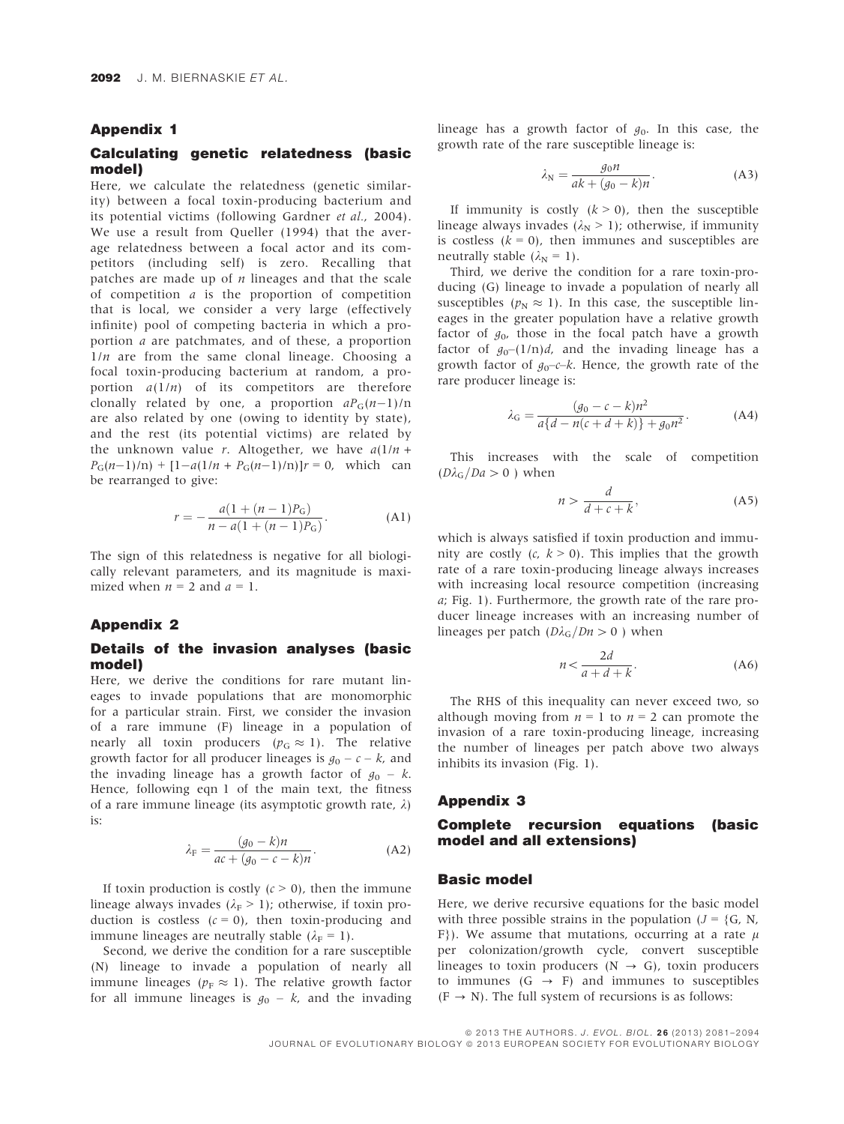#### Appendix 1

## Calculating genetic relatedness (basic model)

Here, we calculate the relatedness (genetic similarity) between a focal toxin-producing bacterium and its potential victims (following Gardner et al., 2004). We use a result from Queller (1994) that the average relatedness between a focal actor and its competitors (including self) is zero. Recalling that patches are made up of  $n$  lineages and that the scale of competition  $a$  is the proportion of competition that is local, we consider a very large (effectively infinite) pool of competing bacteria in which a proportion a are patchmates, and of these, a proportion  $1/n$  are from the same clonal lineage. Choosing a focal toxin-producing bacterium at random, a proportion  $a(1/n)$  of its competitors are therefore clonally related by one, a proportion  $aP_G(n-1)/n$ <br>are also related by one (owing to identity by state) are also related by one (owing to identity by state), and the rest (its potential victims) are related by the unknown value r. Altogether, we have  $a(1/n +$  $P_G(n-1)/n$  +  $[1-a(1/n + P_G(n-1)/n)]r = 0$ , which can<br>be rearranged to give: be rearranged to give:

$$
r = -\frac{a(1 + (n-1)P_{\rm G})}{n - a(1 + (n-1)P_{\rm G})}.
$$
 (A1)

The sign of this relatedness is negative for all biologically relevant parameters, and its magnitude is maximized when  $n = 2$  and  $a = 1$ .

#### Appendix 2

#### Details of the invasion analyses (basic model)

Here, we derive the conditions for rare mutant lineages to invade populations that are monomorphic for a particular strain. First, we consider the invasion of a rare immune (F) lineage in a population of nearly all toxin producers ( $p_G \approx 1$ ). The relative growth factor for all producer lineages is  $g_0 - c - k$ , and the invading lineage has a growth factor of  $g_0 - k$ . Hence, following eqn 1 of the main text, the fitness of a rare immune lineage (its asymptotic growth rate,  $\lambda$ ) is:

$$
\lambda_{\rm F} = \frac{(g_0 - k)n}{ac + (g_0 - c - k)n}.
$$
 (A2)

If toxin production is costly  $(c > 0)$ , then the immune lineage always invades ( $\lambda_F > 1$ ); otherwise, if toxin production is costless  $(c = 0)$ , then toxin-producing and immune lineages are neutrally stable  $(\lambda_F = 1)$ .

Second, we derive the condition for a rare susceptible (N) lineage to invade a population of nearly all immune lineages ( $p_F \approx 1$ ). The relative growth factor for all immune lineages is  $g_0 - k$ , and the invading lineage has a growth factor of  $g_0$ . In this case, the growth rate of the rare susceptible lineage is:

$$
\lambda_{\rm N} = \frac{g_0 n}{ak + (g_0 - k)n}.
$$
 (A3)

If immunity is costly  $(k > 0)$ , then the susceptible lineage always invades ( $\lambda_N > 1$ ); otherwise, if immunity is costless  $(k = 0)$ , then immunes and susceptibles are neutrally stable  $(\lambda_N = 1)$ .

Third, we derive the condition for a rare toxin-producing (G) lineage to invade a population of nearly all susceptibles ( $p_N \approx 1$ ). In this case, the susceptible lineages in the greater population have a relative growth factor of  $g_0$ , those in the focal patch have a growth factor of  $g_0$ -(1/n)d, and the invading lineage has a growth factor of  $g_0$ -c-k. Hence, the growth rate of the rare producer lineage is:

$$
\lambda_{\rm G} = \frac{(g_0 - c - k)n^2}{a\{d - n(c + d + k)\} + g_0 n^2}.
$$
 (A4)

This increases with the scale of competition  $(D\lambda_G/Da > 0$ ) when

$$
n > \frac{d}{d+c+k},\tag{A5}
$$

which is always satisfied if toxin production and immunity are costly  $(c, k > 0)$ . This implies that the growth rate of a rare toxin-producing lineage always increases with increasing local resource competition (increasing a; Fig. 1). Furthermore, the growth rate of the rare producer lineage increases with an increasing number of lineages per patch  $(D\lambda_G/Dn > 0$  ) when

$$
n < \frac{2d}{a+d+k}.\tag{A6}
$$

The RHS of this inequality can never exceed two, so although moving from  $n = 1$  to  $n = 2$  can promote the invasion of a rare toxin-producing lineage, increasing the number of lineages per patch above two always inhibits its invasion (Fig. 1).

### Appendix 3

## Complete recursion equations (basic model and all extensions)

#### Basic model

Here, we derive recursive equations for the basic model with three possible strains in the population ( $J = \{G, N\}$ ) F}). We assume that mutations, occurring at a rate  $\mu$ per colonization/growth cycle, convert susceptible lineages to toxin producers ( $N \rightarrow G$ ), toxin producers to immunes  $(G \rightarrow F)$  and immunes to susceptibles  $(F \rightarrow N)$ . The full system of recursions is as follows: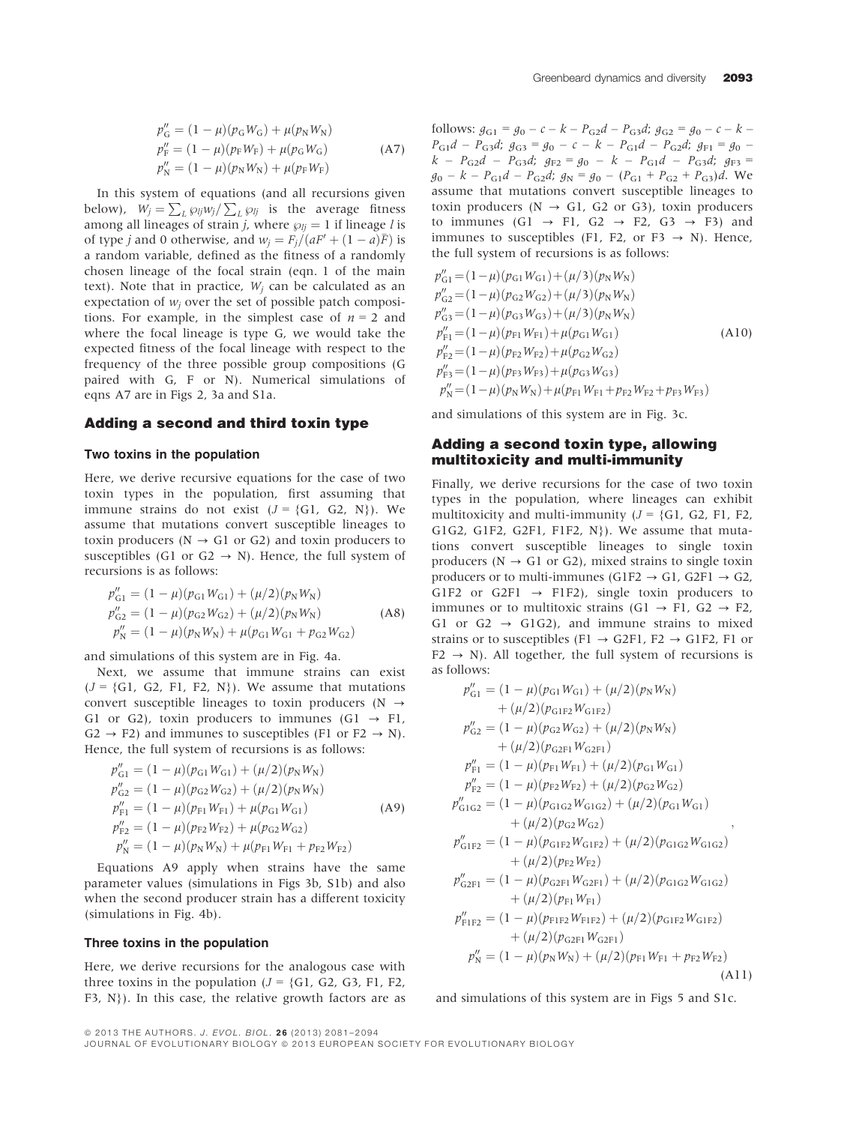$$
p''_G = (1 - \mu)(p_G W_G) + \mu(p_N W_N)
$$
  
\n
$$
p''_F = (1 - \mu)(p_F W_F) + \mu(p_G W_G)
$$
  
\n
$$
p''_N = (1 - \mu)(p_N W_N) + \mu(p_F W_F)
$$
\n(A7)

In this system of equations (and all recursions given below),  $W_j = \sum_L \wp_{ij} w_j / \sum_L \wp_{lj}$  is the average fitness among all lineages of strain *j*, where  $\varphi_{li} = 1$  if lineage *l* is of type *j* and 0 otherwise, and  $w_j = F_j/(aF' + (1 - a)\bar{F})$  is<br>a random variable, defined as the fitness of a randomly a random variable, defined as the fitness of a randomly chosen lineage of the focal strain (eqn. 1 of the main text). Note that in practice,  $W_i$  can be calculated as an expectation of  $w_i$  over the set of possible patch compositions. For example, in the simplest case of  $n = 2$  and where the focal lineage is type G, we would take the expected fitness of the focal lineage with respect to the frequency of the three possible group compositions (G paired with G, F or N). Numerical simulations of eqns A7 are in Figs 2, 3a and S1a.

#### Adding a second and third toxin type

#### Two toxins in the population

Here, we derive recursive equations for the case of two toxin types in the population, first assuming that immune strains do not exist  $(J = {G1, G2, N})$ . We assume that mutations convert susceptible lineages to toxin producers ( $N \rightarrow G1$  or G2) and toxin producers to susceptibles (G1 or G2  $\rightarrow$  N). Hence, the full system of recursions is as follows:

$$
p''_{G1} = (1 - \mu)(p_{G1}W_{G1}) + (\mu/2)(p_NW_N)
$$
  
\n
$$
p''_{G2} = (1 - \mu)(p_{G2}W_{G2}) + (\mu/2)(p_NW_N)
$$
  
\n
$$
p''_N = (1 - \mu)(p_NW_N) + \mu(p_{G1}W_{G1} + p_{G2}W_{G2})
$$
\n(A8)

and simulations of this system are in Fig. 4a.

Next, we assume that immune strains can exist  $(J = \{G1, G2, F1, F2, N\})$ . We assume that mutations convert susceptible lineages to toxin producers (N  $\rightarrow$ G1 or G2), toxin producers to immunes (G1  $\rightarrow$  F1,  $G2 \rightarrow F2$ ) and immunes to susceptibles (F1 or F2  $\rightarrow$  N). Hence, the full system of recursions is as follows:

$$
p''_{\text{G1}} = (1 - \mu)(p_{\text{G1}}W_{\text{G1}}) + (\mu/2)(p_{\text{N}}W_{\text{N}})
$$
  
\n
$$
p''_{\text{G2}} = (1 - \mu)(p_{\text{G2}}W_{\text{G2}}) + (\mu/2)(p_{\text{N}}W_{\text{N}})
$$
  
\n
$$
p''_{\text{F1}} = (1 - \mu)(p_{\text{F1}}W_{\text{F1}}) + \mu(p_{\text{G1}}W_{\text{G1}})
$$
  
\n
$$
p''_{\text{F2}} = (1 - \mu)(p_{\text{F2}}W_{\text{F2}}) + \mu(p_{\text{G2}}W_{\text{G2}})
$$
  
\n
$$
p''_{\text{N}} = (1 - \mu)(p_{\text{N}}W_{\text{N}}) + \mu(p_{\text{F1}}W_{\text{F1}} + p_{\text{F2}}W_{\text{F2}})
$$
\n(A9)

Equations A9 apply when strains have the same parameter values (simulations in Figs 3b, S1b) and also when the second producer strain has a different toxicity (simulations in Fig. 4b).

#### Three toxins in the population

Here, we derive recursions for the analogous case with three toxins in the population ( $J = \{G1, G2, G3, F1, F2,$ F3,  $N$ }). In this case, the relative growth factors are as

follows:  $g_{G1} = g_0 - c - k - P_{G2}d - P_{G3}d$ ;  $g_{G2} = g_0 - c - k$  $P_{G1}d - P_{G3}d$ ;  $g_{G3} = g_0 - c - k - P_{G1}d - P_{G2}d$ ;  $g_{F1} = g_0$  $k - P_{G2}d - P_{G3}d$ ;  $g_{F2} = g_0 - k - P_{G1}d - P_{G3}d$ ;  $g_{F3} =$  $g_0 - k - P_{G1}d - P_{G2}d$ ;  $g_N = g_0 - (P_{G1} + P_{G2} + P_{G3})d$ . We assume that mutations convert susceptible lineages to toxin producers ( $N \rightarrow G1$ ,  $G2$  or  $G3$ ), toxin producers to immunes  $(G1 \rightarrow Fl, G2 \rightarrow F2, G3 \rightarrow F3)$  and immunes to susceptibles (F1, F2, or F3  $\rightarrow$  N). Hence, the full system of recursions is as follows:

$$
p''_{G1} = (1 - \mu)(p_{G1}W_{G1}) + (\mu/3)(p_NW_N)
$$
  
\n
$$
p''_{G2} = (1 - \mu)(p_{G2}W_{G2}) + (\mu/3)(p_NW_N)
$$
  
\n
$$
p''_{G3} = (1 - \mu)(p_{G3}W_{G3}) + (\mu/3)(p_NW_N)
$$
  
\n
$$
p''_{F1} = (1 - \mu)(p_{F1}W_{F1}) + \mu(p_{G1}W_{G1})
$$
  
\n
$$
p''_{F2} = (1 - \mu)(p_{F2}W_{F2}) + \mu(p_{G2}W_{G2})
$$
  
\n
$$
p''_{F3} = (1 - \mu)(p_{F3}W_{F3}) + \mu(p_{G3}W_{G3})
$$
  
\n
$$
p''_N = (1 - \mu)(p_NW_N) + \mu(p_{F1}W_{F1} + p_{F2}W_{F2} + p_{F3}W_{F3})
$$
 (A10)

and simulations of this system are in Fig. 3c.

## Adding a second toxin type, allowing multitoxicity and multi-immunity

Finally, we derive recursions for the case of two toxin types in the population, where lineages can exhibit multitoxicity and multi-immunity ( $J = \{G1, G2, F1, F2,$ G1G2, G1F2, G2F1, F1F2,  $N$ . We assume that mutations convert susceptible lineages to single toxin producers ( $N \rightarrow G1$  or G2), mixed strains to single toxin producers or to multi-immunes (G1F2  $\rightarrow$  G1, G2F1  $\rightarrow$  G2, G1F2 or G2F1  $\rightarrow$  F1F2), single toxin producers to immunes or to multitoxic strains (G1  $\rightarrow$  F1, G2  $\rightarrow$  F2, G1 or G2  $\rightarrow$  G1G2), and immune strains to mixed strains or to susceptibles (F1  $\rightarrow$  G2F1, F2  $\rightarrow$  G1F2, F1 or  $F2 \rightarrow N$ ). All together, the full system of recursions is as follows:

$$
p''_{G1} = (1 - \mu)(p_{G1}W_{G1}) + (\mu/2)(p_NW_N)
$$
  
+  $(\mu/2)(p_{G1F2}W_{G1F2})$   

$$
p''_{G2} = (1 - \mu)(p_{G2}W_{G2}) + (\mu/2)(p_NW_N)
$$
  
+  $(\mu/2)(p_{G2F1}W_{G2F1})$   

$$
p''_{F1} = (1 - \mu)(p_{F1}W_{F1}) + (\mu/2)(p_{G1}W_{G1})
$$
  

$$
p''_{F2} = (1 - \mu)(p_{F2}W_{F2}) + (\mu/2)(p_{G2}W_{G2})
$$
  

$$
p''_{G1G2} = (1 - \mu)(p_{G1G2}W_{G1G2}) + (\mu/2)(p_{G1}W_{G1})
$$
  
+  $(\mu/2)(p_{G2}W_{G2})$   

$$
p''_{G1F2} = (1 - \mu)(p_{G1F2}W_{G1F2}) + (\mu/2)(p_{G1G2}W_{G1G2})
$$
  
+  $(\mu/2)(p_{F2}W_{F2})$   

$$
p''_{G2F1} = (1 - \mu)(p_{G2F1}W_{G2F1}) + (\mu/2)(p_{G1G2}W_{G1G2})
$$
  
+  $(\mu/2)(p_{F1}W_{F1})$   

$$
p''_{F1F2} = (1 - \mu)(p_{F1F2}W_{F1F2}) + (\mu/2)(p_{G1F2}W_{G1F2})
$$
  
+  $(\mu/2)(p_{G2F1}W_{G2F1})$   

$$
p''_N = (1 - \mu)(p_NW_N) + (\mu/2)(p_{F1}W_{F1} + p_{F2}W_{F2})
$$
(A11)

and simulations of this system are in Figs 5 and S1c.

© 2013 THE AUTHORS. J. EVOL. BIOL. 26 (2013) 2081-2094

JOURNAL OF EVOLUTIONARY BIOLOGY @ 2013 EUROPEAN SOCIETY FOR EVOLUTIONARY BIOLOGY